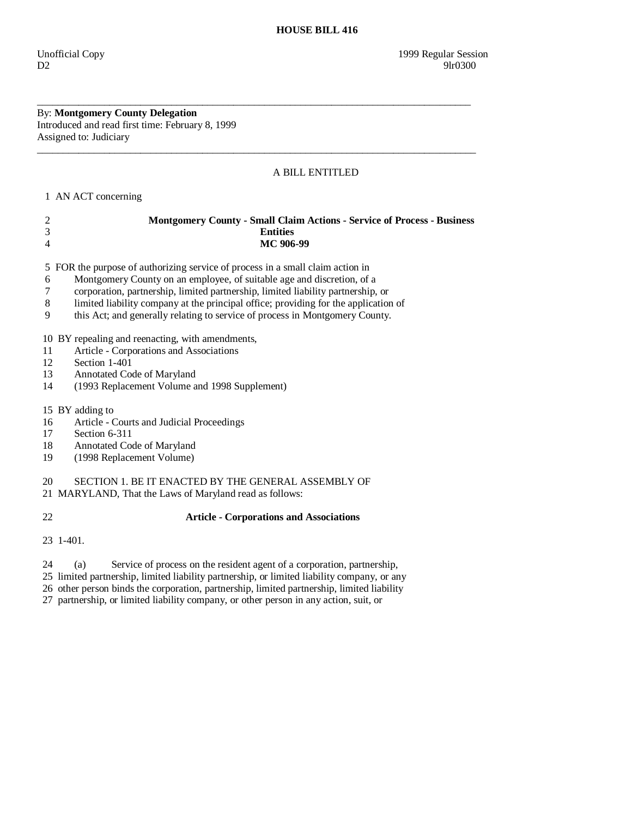By: **Montgomery County Delegation**  Introduced and read first time: February 8, 1999 Assigned to: Judiciary

# A BILL ENTITLED

1 AN ACT concerning

| <b>Montgomery County - Small Claim Actions - Service of Process - Business</b> |
|--------------------------------------------------------------------------------|
| <b>Entities</b>                                                                |
| MC 906-99                                                                      |
|                                                                                |

\_\_\_\_\_\_\_\_\_\_\_\_\_\_\_\_\_\_\_\_\_\_\_\_\_\_\_\_\_\_\_\_\_\_\_\_\_\_\_\_\_\_\_\_\_\_\_\_\_\_\_\_\_\_\_\_\_\_\_\_\_\_\_\_\_\_\_\_\_\_\_\_\_\_\_\_\_\_\_\_\_\_\_\_

 $\overline{\phantom{a}}$  ,  $\overline{\phantom{a}}$  ,  $\overline{\phantom{a}}$  ,  $\overline{\phantom{a}}$  ,  $\overline{\phantom{a}}$  ,  $\overline{\phantom{a}}$  ,  $\overline{\phantom{a}}$  ,  $\overline{\phantom{a}}$  ,  $\overline{\phantom{a}}$  ,  $\overline{\phantom{a}}$  ,  $\overline{\phantom{a}}$  ,  $\overline{\phantom{a}}$  ,  $\overline{\phantom{a}}$  ,  $\overline{\phantom{a}}$  ,  $\overline{\phantom{a}}$  ,  $\overline{\phantom{a}}$ 

5 FOR the purpose of authorizing service of process in a small claim action in

- 6 Montgomery County on an employee, of suitable age and discretion, of a
- 7 corporation, partnership, limited partnership, limited liability partnership, or
- 8 limited liability company at the principal office; providing for the application of
- 9 this Act; and generally relating to service of process in Montgomery County.

10 BY repealing and reenacting, with amendments,

- 11 Article Corporations and Associations
- 12 Section 1-401
- 13 Annotated Code of Maryland<br>14 (1993 Replacement Volume a
- 14 (1993 Replacement Volume and 1998 Supplement)

15 BY adding to

- 16 Article Courts and Judicial Proceedings
- 17 Section 6-311
- 18 Annotated Code of Maryland
- 19 (1998 Replacement Volume)

20 SECTION 1. BE IT ENACTED BY THE GENERAL ASSEMBLY OF

21 MARYLAND, That the Laws of Maryland read as follows:

## 22 **Article - Corporations and Associations**

23 1-401.

24 (a) Service of process on the resident agent of a corporation, partnership,

25 limited partnership, limited liability partnership, or limited liability company, or any

26 other person binds the corporation, partnership, limited partnership, limited liability

27 partnership, or limited liability company, or other person in any action, suit, or